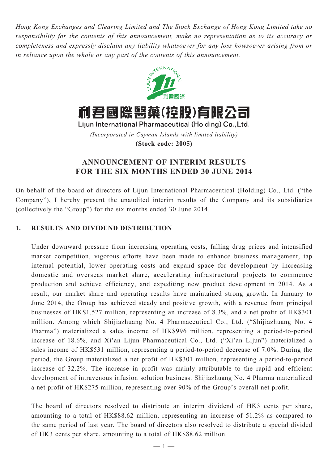*Hong Kong Exchanges and Clearing Limited and The Stock Exchange of Hong Kong Limited take no responsibility for the contents of this announcement, make no representation as to its accuracy or completeness and expressly disclaim any liability whatsoever for any loss howsoever arising from or in reliance upon the whole or any part of the contents of this announcement.*



*(Incorporated in Cayman Islands with limited liability)* **(Stock code: 2005)**

# **ANNOUNCEMENT OF INTERIM RESULTS FOR THE SIX MONTHS ENDED 30 JUNE 2014**

On behalf of the board of directors of Lijun International Pharmaceutical (Holding) Co., Ltd. ("the Company"), I hereby present the unaudited interim results of the Company and its subsidiaries (collectively the "Group") for the six months ended 30 June 2014.

## **1. Results and dividend distribution**

Under downward pressure from increasing operating costs, falling drug prices and intensified market competition, vigorous efforts have been made to enhance business management, tap internal potential, lower operating costs and expand space for development by increasing domestic and overseas market share, accelerating infrastructural projects to commence production and achieve efficiency, and expediting new product development in 2014. As a result, our market share and operating results have maintained strong growth. In January to June 2014, the Group has achieved steady and positive growth, with a revenue from principal businesses of HK\$1,527 million, representing an increase of 8.3%, and a net profit of HK\$301 million. Among which Shijiazhuang No. 4 Pharmaceutical Co., Ltd. ("Shijiazhuang No. 4 Pharma") materialized a sales income of HK\$996 million, representing a period-to-period increase of 18.6%, and Xi'an Lijun Pharmaceutical Co., Ltd. ("Xi'an Lijun") materialized a sales income of HK\$531 million, representing a period-to-period decrease of 7.0%. During the period, the Group materialized a net profit of HK\$301 million, representing a period-to-period increase of 32.2%. The increase in profit was mainly attributable to the rapid and efficient development of intravenous infusion solution business. Shijiazhuang No. 4 Pharma materialized a net profit of HK\$275 million, representing over 90% of the Group's overall net profit.

The board of directors resolved to distribute an interim dividend of HK3 cents per share, amounting to a total of HK\$88.62 million, representing an increase of 51.2% as compared to the same period of last year. The board of directors also resolved to distribute a special divided of HK3 cents per share, amounting to a total of HK\$88.62 million.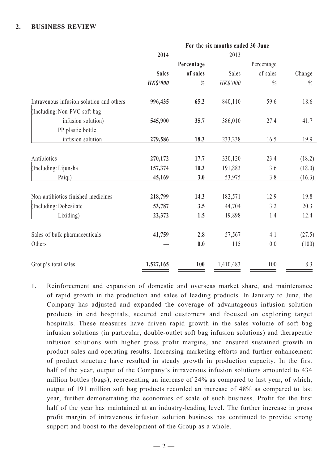### **2. Business REVIEW**

|                                          | For the six months ended 30 June |            |           |            |        |  |  |
|------------------------------------------|----------------------------------|------------|-----------|------------|--------|--|--|
|                                          | 2014                             |            | 2013      |            |        |  |  |
|                                          |                                  | Percentage |           | Percentage |        |  |  |
|                                          | <b>Sales</b>                     | of sales   | Sales     | of sales   | Change |  |  |
|                                          | <b>HKS'000</b>                   | %          | HK\$'000  | $\%$       | $\%$   |  |  |
| Intravenous infusion solution and others | 996,435                          | 65.2       | 840,110   | 59.6       | 18.6   |  |  |
| (Including: Non-PVC soft bag             |                                  |            |           |            |        |  |  |
| infusion solution)                       | 545,900                          | 35.7       | 386,010   | 27.4       | 41.7   |  |  |
| PP plastic bottle                        |                                  |            |           |            |        |  |  |
| infusion solution                        | 279,586                          | 18.3       | 233,238   | 16.5       | 19.9   |  |  |
| Antibiotics                              | 270,172                          | 17.7       | 330,120   | 23.4       | (18.2) |  |  |
| (Including: Lijunsha                     | 157,374                          | 10.3       | 191,883   | 13.6       | (18.0) |  |  |
| Paiqi)                                   | 45,169                           | 3.0        | 53,975    | 3.8        | (16.3) |  |  |
| Non-antibiotics finished medicines       | 218,799                          | 14.3       | 182,571   | 12.9       | 19.8   |  |  |
| (Including: Dobesilate                   | 53,787                           | 3.5        | 44,704    | 3.2        | 20.3   |  |  |
| Lixiding)                                | 22,372                           | 1.5        | 19,898    | 1.4        | 12.4   |  |  |
|                                          |                                  |            |           |            |        |  |  |
| Sales of bulk pharmaceuticals            | 41,759                           | 2.8        | 57,567    | 4.1        | (27.5) |  |  |
| Others                                   |                                  | 0.0        | 115       | 0.0        | (100)  |  |  |
| Group's total sales                      | 1,527,165                        | 100        | 1,410,483 | 100        | 8.3    |  |  |

1. Reinforcement and expansion of domestic and overseas market share, and maintenance of rapid growth in the production and sales of leading products. In January to June, the Company has adjusted and expanded the coverage of advantageous infusion solution products in end hospitals, secured end customers and focused on exploring target hospitals. These measures have driven rapid growth in the sales volume of soft bag infusion solutions (in particular, double-outlet soft bag infusion solutions) and therapeutic infusion solutions with higher gross profit margins, and ensured sustained growth in product sales and operating results. Increasing marketing efforts and further enhancement of product structure have resulted in steady growth in production capacity. In the first half of the year, output of the Company's intravenous infusion solutions amounted to 434 million bottles (bags), representing an increase of 24% as compared to last year, of which, output of 191 million soft bag products recorded an increase of 48% as compared to last year, further demonstrating the economies of scale of such business. Profit for the first half of the year has maintained at an industry-leading level. The further increase in gross profit margin of intravenous infusion solution business has continued to provide strong support and boost to the development of the Group as a whole.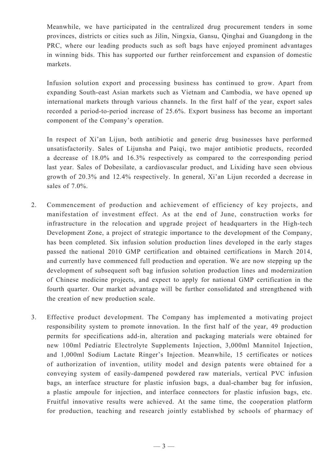Meanwhile, we have participated in the centralized drug procurement tenders in some provinces, districts or cities such as Jilin, Ningxia, Gansu, Qinghai and Guangdong in the PRC, where our leading products such as soft bags have enjoyed prominent advantages in winning bids. This has supported our further reinforcement and expansion of domestic markets.

Infusion solution export and processing business has continued to grow. Apart from expanding South-east Asian markets such as Vietnam and Cambodia, we have opened up international markets through various channels. In the first half of the year, export sales recorded a period-to-period increase of 25.6%. Export business has become an important component of the Company's operation.

In respect of Xi'an Lijun, both antibiotic and generic drug businesses have performed unsatisfactorily. Sales of Lijunsha and Paiqi, two major antibiotic products, recorded a decrease of 18.0% and 16.3% respectively as compared to the corresponding period last year. Sales of Dobesilate, a cardiovascular product, and Lixiding have seen obvious growth of 20.3% and 12.4% respectively. In general, Xi'an Lijun recorded a decrease in sales of 7.0%.

- 2. Commencement of production and achievement of efficiency of key projects, and manifestation of investment effect. As at the end of June, construction works for infrastructure in the relocation and upgrade project of headquarters in the High-tech Development Zone, a project of strategic importance to the development of the Company, has been completed. Six infusion solution production lines developed in the early stages passed the national 2010 GMP certification and obtained certifications in March 2014, and currently have commenced full production and operation. We are now stepping up the development of subsequent soft bag infusion solution production lines and modernization of Chinese medicine projects, and expect to apply for national GMP certification in the fourth quarter. Our market advantage will be further consolidated and strengthened with the creation of new production scale.
- 3. Effective product development. The Company has implemented a motivating project responsibility system to promote innovation. In the first half of the year, 49 production permits for specifications add-in, alteration and packaging materials were obtained for new 100ml Pediatric Electrolyte Supplements Injection, 3,000ml Mannitol Injection, and 1,000ml Sodium Lactate Ringer's Injection. Meanwhile, 15 certificates or notices of authorization of invention, utility model and design patents were obtained for a conveying system of easily-dampened powdered raw materials, vertical PVC infusion bags, an interface structure for plastic infusion bags, a dual-chamber bag for infusion, a plastic ampoule for injection, and interface connectors for plastic infusion bags, etc. Fruitful innovative results were achieved. At the same time, the cooperation platform for production, teaching and research jointly established by schools of pharmacy of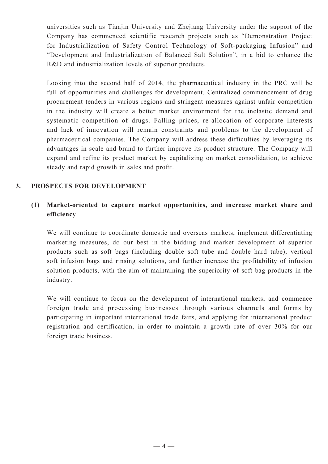universities such as Tianjin University and Zhejiang University under the support of the Company has commenced scientific research projects such as "Demonstration Project for Industrialization of Safety Control Technology of Soft-packaging Infusion" and "Development and Industrialization of Balanced Salt Solution", in a bid to enhance the R&D and industrialization levels of superior products.

Looking into the second half of 2014, the pharmaceutical industry in the PRC will be full of opportunities and challenges for development. Centralized commencement of drug procurement tenders in various regions and stringent measures against unfair competition in the industry will create a better market environment for the inelastic demand and systematic competition of drugs. Falling prices, re-allocation of corporate interests and lack of innovation will remain constraints and problems to the development of pharmaceutical companies. The Company will address these difficulties by leveraging its advantages in scale and brand to further improve its product structure. The Company will expand and refine its product market by capitalizing on market consolidation, to achieve steady and rapid growth in sales and profit.

### **3. PROSPECTS FOR DEVELOPMENT**

# **(1) Market-oriented to capture market opportunities, and increase market share and efficiency**

We will continue to coordinate domestic and overseas markets, implement differentiating marketing measures, do our best in the bidding and market development of superior products such as soft bags (including double soft tube and double hard tube), vertical soft infusion bags and rinsing solutions, and further increase the profitability of infusion solution products, with the aim of maintaining the superiority of soft bag products in the industry.

We will continue to focus on the development of international markets, and commence foreign trade and processing businesses through various channels and forms by participating in important international trade fairs, and applying for international product registration and certification, in order to maintain a growth rate of over 30% for our foreign trade business.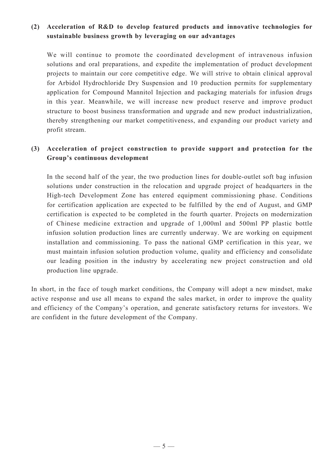# **(2) Acceleration of R&D to develop featured products and innovative technologies for sustainable business growth by leveraging on our advantages**

We will continue to promote the coordinated development of intravenous infusion solutions and oral preparations, and expedite the implementation of product development projects to maintain our core competitive edge. We will strive to obtain clinical approval for Arbidol Hydrochloride Dry Suspension and 10 production permits for supplementary application for Compound Mannitol Injection and packaging materials for infusion drugs in this year. Meanwhile, we will increase new product reserve and improve product structure to boost business transformation and upgrade and new product industrialization, thereby strengthening our market competitiveness, and expanding our product variety and profit stream.

# **(3) Acceleration of project construction to provide support and protection for the Group's continuous development**

In the second half of the year, the two production lines for double-outlet soft bag infusion solutions under construction in the relocation and upgrade project of headquarters in the High-tech Development Zone has entered equipment commissioning phase. Conditions for certification application are expected to be fulfilled by the end of August, and GMP certification is expected to be completed in the fourth quarter. Projects on modernization of Chinese medicine extraction and upgrade of 1,000ml and 500ml PP plastic bottle infusion solution production lines are currently underway. We are working on equipment installation and commissioning. To pass the national GMP certification in this year, we must maintain infusion solution production volume, quality and efficiency and consolidate our leading position in the industry by accelerating new project construction and old production line upgrade.

In short, in the face of tough market conditions, the Company will adopt a new mindset, make active response and use all means to expand the sales market, in order to improve the quality and efficiency of the Company's operation, and generate satisfactory returns for investors. We are confident in the future development of the Company.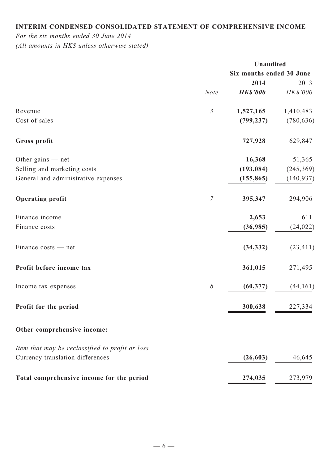# **Interim condensed consolidated statement of comprehensive income**

*For the six months ended 30 June 2014 (All amounts in HK\$ unless otherwise stated)*

|                                                 | Unaudited      |                          |                 |  |
|-------------------------------------------------|----------------|--------------------------|-----------------|--|
|                                                 |                | Six months ended 30 June |                 |  |
|                                                 |                | 2014                     | 2013            |  |
|                                                 | <b>Note</b>    | <b>HK\$'000</b>          | <b>HK\$'000</b> |  |
| Revenue                                         | $\mathfrak{Z}$ | 1,527,165                | 1,410,483       |  |
| Cost of sales                                   |                | (799, 237)               | (780, 636)      |  |
| Gross profit                                    |                | 727,928                  | 629,847         |  |
| Other gains $-$ net                             |                | 16,368                   | 51,365          |  |
| Selling and marketing costs                     |                | (193, 084)               | (245, 369)      |  |
| General and administrative expenses             |                | (155, 865)               | (140, 937)      |  |
| <b>Operating profit</b>                         | $\overline{7}$ | 395,347                  | 294,906         |  |
| Finance income                                  |                | 2,653                    | 611             |  |
| Finance costs                                   |                | (36,985)                 | (24, 022)       |  |
| Finance costs — net                             |                | (34, 332)                | (23, 411)       |  |
| Profit before income tax                        |                | 361,015                  | 271,495         |  |
| Income tax expenses                             | $\delta$       | (60, 377)                | (44, 161)       |  |
| <b>Profit for the period</b>                    |                | 300,638                  | 227,334         |  |
| Other comprehensive income:                     |                |                          |                 |  |
| Item that may be reclassified to profit or loss |                |                          |                 |  |
| Currency translation differences                |                | (26, 603)                | 46,645          |  |
| Total comprehensive income for the period       |                | 274,035                  | 273,979         |  |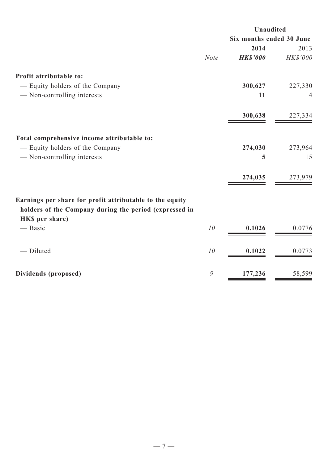|                                                          |             | Unaudited                |          |  |
|----------------------------------------------------------|-------------|--------------------------|----------|--|
|                                                          |             | Six months ended 30 June |          |  |
|                                                          |             | 2014                     | 2013     |  |
|                                                          | <b>Note</b> | <b>HK\$'000</b>          | HK\$'000 |  |
| Profit attributable to:                                  |             |                          |          |  |
| - Equity holders of the Company                          |             | 300,627                  | 227,330  |  |
| - Non-controlling interests                              |             | 11                       | 4        |  |
|                                                          |             | 300,638                  | 227,334  |  |
| Total comprehensive income attributable to:              |             |                          |          |  |
| - Equity holders of the Company                          |             | 274,030                  | 273,964  |  |
| - Non-controlling interests                              |             | 5                        | 15       |  |
|                                                          |             | 274,035                  | 273,979  |  |
| Earnings per share for profit attributable to the equity |             |                          |          |  |
| holders of the Company during the period (expressed in   |             |                          |          |  |
| HKS per share)                                           |             |                          |          |  |
| — Basic                                                  | 10          | 0.1026                   | 0.0776   |  |
| - Diluted                                                | 10          | 0.1022                   | 0.0773   |  |
| Dividends (proposed)                                     | 9           | 177,236                  | 58,599   |  |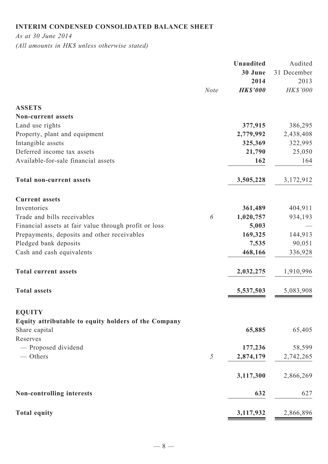# **Interim condensed consolidated balance sheet**

*As at 30 June 2014*

*(All amounts in HK\$ unless otherwise stated)*

|                                                       | <b>Unaudited</b> | Audited     |
|-------------------------------------------------------|------------------|-------------|
|                                                       | 30 June          | 31 December |
|                                                       | 2014             | 2013        |
| <b>Note</b>                                           | <b>HK\$'000</b>  | HK\$'000    |
| <b>ASSETS</b>                                         |                  |             |
| <b>Non-current assets</b>                             |                  |             |
| Land use rights                                       | 377,915          | 386,295     |
| Property, plant and equipment                         | 2,779,992        | 2,438,408   |
| Intangible assets                                     | 325,369          | 322,995     |
| Deferred income tax assets                            | 21,790           | 25,050      |
| Available-for-sale financial assets                   | 162              | 164         |
| <b>Total non-current assets</b>                       | 3,505,228        | 3,172,912   |
| <b>Current assets</b>                                 |                  |             |
| Inventories                                           | 361,489          | 404,911     |
| Trade and bills receivables<br>6                      | 1,020,757        | 934,193     |
| Financial assets at fair value through profit or loss | 5,003            |             |
| Prepayments, deposits and other receivables           | 169,325          | 144,913     |
| Pledged bank deposits                                 | 7,535            | 90,051      |
| Cash and cash equivalents                             | 468,166          | 336,928     |
| <b>Total current assets</b>                           | 2,032,275        | 1,910,996   |
| <b>Total assets</b>                                   | 5,537,503        | 5,083,908   |
| <b>EQUITY</b>                                         |                  |             |
| Equity attributable to equity holders of the Company  |                  |             |
| Share capital                                         | 65,885           | 65,405      |
| Reserves                                              |                  |             |
| - Proposed dividend                                   | 177,236          | 58,599      |
| $-$ Others<br>$\sqrt{2}$                              | 2,874,179        | 2,742,265   |
|                                                       | 3,117,300        | 2,866,269   |
| Non-controlling interests                             | 632              | 627         |
| <b>Total equity</b>                                   | 3,117,932        | 2,866,896   |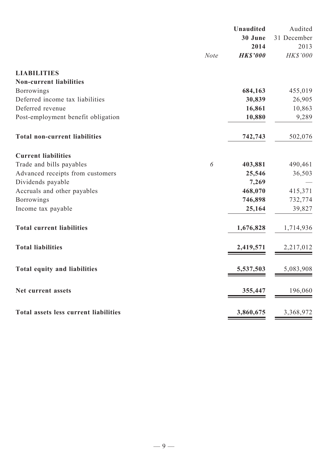|                                              |             | <b>Unaudited</b><br>30 June | Audited             |
|----------------------------------------------|-------------|-----------------------------|---------------------|
|                                              |             | 2014                        | 31 December<br>2013 |
|                                              | <b>Note</b> | <b>HK\$'000</b>             | HK\$'000            |
| <b>LIABILITIES</b>                           |             |                             |                     |
| <b>Non-current liabilities</b>               |             |                             |                     |
| <b>Borrowings</b>                            |             | 684,163                     | 455,019             |
| Deferred income tax liabilities              |             | 30,839                      | 26,905              |
| Deferred revenue                             |             | 16,861                      | 10,863              |
| Post-employment benefit obligation           |             | 10,880                      | 9,289               |
| <b>Total non-current liabilities</b>         |             | 742,743                     | 502,076             |
| <b>Current liabilities</b>                   |             |                             |                     |
| Trade and bills payables                     | 6           | 403,881                     | 490,461             |
| Advanced receipts from customers             |             | 25,546                      | 36,503              |
| Dividends payable                            |             | 7,269                       |                     |
| Accruals and other payables                  |             | 468,070                     | 415,371             |
| <b>Borrowings</b>                            |             | 746,898                     | 732,774             |
| Income tax payable                           |             | 25,164                      | 39,827              |
| <b>Total current liabilities</b>             |             | 1,676,828                   | 1,714,936           |
| <b>Total liabilities</b>                     |             | 2,419,571                   | 2,217,012           |
| <b>Total equity and liabilities</b>          |             | 5,537,503                   | 5,083,908           |
| Net current assets                           |             | 355,447                     | 196,060             |
| <b>Total assets less current liabilities</b> |             | 3,860,675                   | 3,368,972           |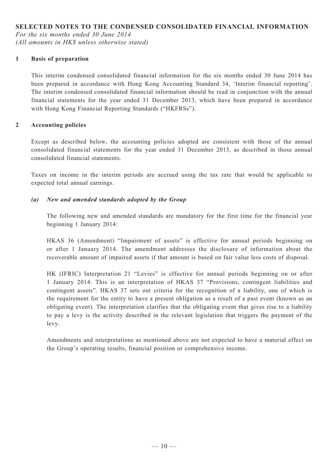### **SELECTED NOTES TO THE CONDENSED CONSOLIDATED FINANCIAL INFORMATION**

*For the six months ended 30 June 2014 (All amounts in HK\$ unless otherwise stated)*

#### **1 Basis of preparation**

This interim condensed consolidated financial information for the six months ended 30 June 2014 has been prepared in accordance with Hong Kong Accounting Standard 34, 'Interim financial reporting'. The interim condensed consolidated financial information should be read in conjunction with the annual financial statements for the year ended 31 December 2013, which have been prepared in accordance with Hong Kong Financial Reporting Standards ("HKFRSs").

#### **2 Accounting policies**

Except as described below, the accounting policies adopted are consistent with those of the annual consolidated financial statements for the year ended 31 December 2013, as described in those annual consolidated financial statements.

Taxes on income in the interim periods are accrued using the tax rate that would be applicable to expected total annual earnings.

#### *(a) New and amended standards adopted by the Group*

The following new and amended standards are mandatory for the first time for the financial year beginning 1 January 2014:

HKAS 36 (Amendment) "Impairment of assets" is effective for annual periods beginning on or after 1 January 2014. The amendment addresses the disclosure of information about the recoverable amount of impaired assets if that amount is based on fair value less costs of disposal.

HK (IFRIC) Interpretation 21 "Levies" is effective for annual periods beginning on or after 1 January 2014. This is an interpretation of HKAS 37 "Provisions, contingent liabilities and contingent assets". HKAS 37 sets out criteria for the recognition of a liability, one of which is the requirement for the entity to have a present obligation as a result of a past event (known as an obligating event). The interpretation clarifies that the obligating event that gives rise to a liability to pay a levy is the activity described in the relevant legislation that triggers the payment of the levy.

Amendments and interpretations as mentioned above are not expected to have a material effect on the Group's operating results, financial position or comprehensive income.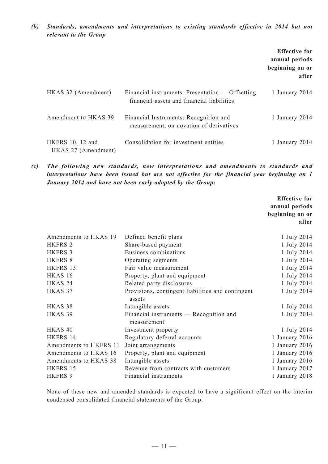*(b) Standards, amendments and interpretations to existing standards effective in 2014 but not relevant to the Group*

|                                         |                                                                                                | <b>Effective for</b><br>annual periods<br>beginning on or<br>after |
|-----------------------------------------|------------------------------------------------------------------------------------------------|--------------------------------------------------------------------|
| HKAS 32 (Amendment)                     | Financial instruments: Presentation — Offsetting<br>financial assets and financial liabilities | 1 January 2014                                                     |
| Amendment to HKAS 39                    | Financial Instruments: Recognition and<br>measurement, on novation of derivatives              | 1 January 2014                                                     |
| HKFRS 10, 12 and<br>HKAS 27 (Amendment) | Consolidation for investment entities                                                          | 1 January 2014                                                     |

*(c) The following new standards, new interpretations and amendments to standards and interpretations have been issued but are not effective for the financial year beginning on 1 January 2014 and have not been early adopted by the Group:*

|                        |                                                             | <b>Effective for</b><br>annual periods<br>beginning on or<br>after |
|------------------------|-------------------------------------------------------------|--------------------------------------------------------------------|
| Amendments to HKAS 19  | Defined benefit plans                                       | 1 July 2014                                                        |
| <b>HKFRS 2</b>         | Share-based payment                                         | 1 July 2014                                                        |
| <b>HKFRS 3</b>         | Business combinations                                       | 1 July 2014                                                        |
| HKFRS 8                | Operating segments                                          | 1 July 2014                                                        |
| HKFRS 13               | Fair value measurement                                      | 1 July 2014                                                        |
| HKAS 16                | Property, plant and equipment                               | 1 July 2014                                                        |
| HKAS <sub>24</sub>     | Related party disclosures                                   | 1 July 2014                                                        |
| HKAS 37                | Provisions, contingent liabilities and contingent<br>assets | 1 July 2014                                                        |
| HKAS <sub>38</sub>     | Intangible assets                                           | 1 July 2014                                                        |
| HKAS <sub>39</sub>     | Financial instruments — Recognition and<br>measurement      | 1 July 2014                                                        |
| HKAS <sub>40</sub>     | Investment property                                         | 1 July 2014                                                        |
| HKFRS 14               | Regulatory deferral accounts                                | 1 January 2016                                                     |
| Amendments to HKFRS 11 | Joint arrangements                                          | 1 January 2016                                                     |
| Amendments to HKAS 16  | Property, plant and equipment                               | 1 January 2016                                                     |
| Amendments to HKAS 38  | Intangible assets                                           | 1 January 2016                                                     |
| HKFRS 15               | Revenue from contracts with customers                       | 1 January 2017                                                     |
| <b>HKFRS 9</b>         | Financial instruments                                       | 1 January 2018                                                     |

None of these new and amended standards is expected to have a significant effect on the interim condensed consolidated financial statements of the Group.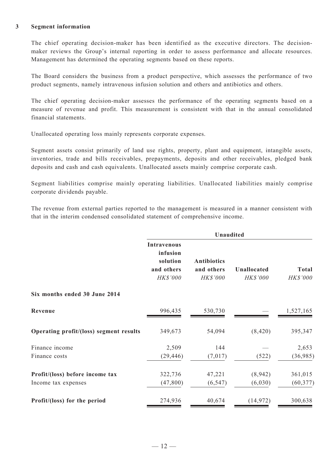#### **3 Segment information**

The chief operating decision-maker has been identified as the executive directors. The decisionmaker reviews the Group's internal reporting in order to assess performance and allocate resources. Management has determined the operating segments based on these reports.

The Board considers the business from a product perspective, which assesses the performance of two product segments, namely intravenous infusion solution and others and antibiotics and others.

The chief operating decision-maker assesses the performance of the operating segments based on a measure of revenue and profit. This measurement is consistent with that in the annual consolidated financial statements.

Unallocated operating loss mainly represents corporate expenses.

Segment assets consist primarily of land use rights, property, plant and equipment, intangible assets, inventories, trade and bills receivables, prepayments, deposits and other receivables, pledged bank deposits and cash and cash equivalents. Unallocated assets mainly comprise corporate cash.

Segment liabilities comprise mainly operating liabilities. Unallocated liabilities mainly comprise corporate dividends payable.

The revenue from external parties reported to the management is measured in a manner consistent with that in the interim condensed consolidated statement of comprehensive income.

|                                         | <b>Unaudited</b>                                                     |                                              |                                |                          |  |  |
|-----------------------------------------|----------------------------------------------------------------------|----------------------------------------------|--------------------------------|--------------------------|--|--|
|                                         | <b>Intravenous</b><br>infusion<br>solution<br>and others<br>HK\$'000 | <b>Antibiotics</b><br>and others<br>HK\$'000 | <b>Unallocated</b><br>HK\$'000 | <b>Total</b><br>HK\$'000 |  |  |
| Six months ended 30 June 2014           |                                                                      |                                              |                                |                          |  |  |
| Revenue                                 | 996,435                                                              | 530,730                                      |                                | 1,527,165                |  |  |
| Operating profit/(loss) segment results | 349,673                                                              | 54,094                                       | (8, 420)                       | 395,347                  |  |  |
| Finance income                          | 2,509                                                                | 144                                          |                                | 2,653                    |  |  |
| Finance costs                           | (29, 446)                                                            | (7,017)                                      | (522)                          | (36,985)                 |  |  |
| Profit/(loss) before income tax         | 322,736                                                              | 47,221                                       | (8,942)                        | 361,015                  |  |  |
| Income tax expenses                     | (47, 800)                                                            | (6, 547)                                     | (6,030)                        | (60, 377)                |  |  |
| Profit/(loss) for the period            | 274,936                                                              | 40,674                                       | (14, 972)                      | 300,638                  |  |  |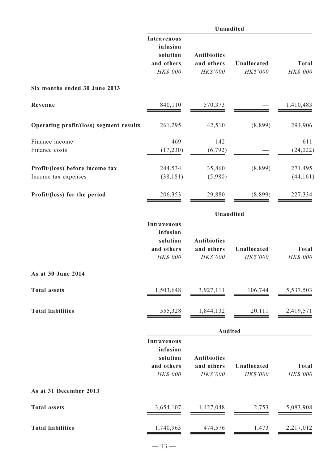|                                                        | Unaudited                                                            |                                              |                         |                          |  |  |  |
|--------------------------------------------------------|----------------------------------------------------------------------|----------------------------------------------|-------------------------|--------------------------|--|--|--|
|                                                        | <b>Intravenous</b><br>infusion<br>solution<br>and others<br>HK\$'000 | <b>Antibiotics</b><br>and others<br>HK\$'000 | Unallocated<br>HK\$'000 | <b>Total</b><br>HK\$'000 |  |  |  |
| Six months ended 30 June 2013                          |                                                                      |                                              |                         |                          |  |  |  |
| Revenue                                                | 840,110                                                              | 570,373                                      |                         | 1,410,483                |  |  |  |
| Operating profit/(loss) segment results                | 261,295                                                              | 42,510                                       | (8,899)                 | 294,906                  |  |  |  |
| Finance income<br>Finance costs                        | 469<br>(17, 230)                                                     | 142<br>(6, 792)                              |                         | 611<br>(24, 022)         |  |  |  |
| Profit/(loss) before income tax<br>Income tax expenses | 244,534<br>(38, 181)                                                 | 35,860<br>(5,980)                            | (8,899)                 | 271,495<br>(44, 161)     |  |  |  |
| Profit/(loss) for the period                           | 206,353                                                              | 29,880                                       | (8,899)                 | 227,334                  |  |  |  |
|                                                        | Unaudited                                                            |                                              |                         |                          |  |  |  |
|                                                        | <b>Intravenous</b><br>infusion<br>solution<br>and others<br>HK\$'000 | <b>Antibiotics</b><br>and others<br>HK\$'000 | Unallocated<br>HK\$'000 | <b>Total</b><br>HK\$'000 |  |  |  |
| As at 30 June 2014                                     |                                                                      |                                              |                         |                          |  |  |  |
| <b>Total assets</b>                                    | 1,503,648                                                            | 3,927,111                                    | 106,744                 | 5,537,503                |  |  |  |
| <b>Total liabilities</b>                               | 555,328                                                              | 1,844,132                                    | 20,111                  | 2,419,571                |  |  |  |
|                                                        |                                                                      | <b>Audited</b>                               |                         |                          |  |  |  |
|                                                        | <b>Intravenous</b><br>infusion<br>solution<br>and others<br>HK\$'000 | <b>Antibiotics</b><br>and others<br>HK\$'000 | Unallocated<br>HK\$'000 | <b>Total</b><br>HK\$'000 |  |  |  |
| As at 31 December 2013                                 |                                                                      |                                              |                         |                          |  |  |  |
| <b>Total assets</b>                                    | 3,654,107                                                            | 1,427,048                                    | 2,753                   | 5,083,908                |  |  |  |
| <b>Total liabilities</b>                               | 1,740,963                                                            | 474,576                                      | 1,473                   | 2,217,012                |  |  |  |
|                                                        | $-13-$                                                               |                                              |                         |                          |  |  |  |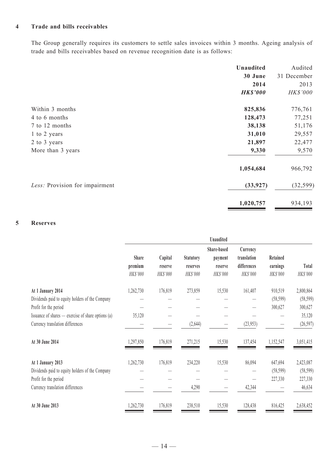#### **4 Trade and bills receivables**

The Group generally requires its customers to settle sales invoices within 3 months. Ageing analysis of trade and bills receivables based on revenue recognition date is as follows:

|                                | <b>Unaudited</b> | Audited     |
|--------------------------------|------------------|-------------|
|                                | 30 June          | 31 December |
|                                | 2014             | 2013        |
|                                | <b>HK\$'000</b>  | HK\$'000    |
| Within 3 months                | 825,836          | 776,761     |
| 4 to 6 months                  | 128,473          | 77,251      |
| 7 to 12 months                 | 38,138           | 51,176      |
| 1 to 2 years                   | 31,010           | 29,557      |
| 2 to 3 years                   | 21,897           | 22,477      |
| More than 3 years              | 9,330            | 9,570       |
|                                | 1,054,684        | 966,792     |
| Less: Provision for impairment | (33, 927)        | (32, 599)   |
|                                | 1,020,757        | 934,193     |

# **5 Reserves**

|                                                      |                                     |                                |                                          | <b>Unaudited</b>                              |                                                    |                                  |                   |
|------------------------------------------------------|-------------------------------------|--------------------------------|------------------------------------------|-----------------------------------------------|----------------------------------------------------|----------------------------------|-------------------|
|                                                      | <b>Share</b><br>premium<br>HK\$'000 | Capital<br>reserve<br>HK\$'000 | <b>Statutory</b><br>reserves<br>HK\$'000 | Share-based<br>payment<br>reserve<br>HK\$'000 | Currency<br>translation<br>differences<br>HK\$'000 | Retained<br>earnings<br>HK\$'000 | Total<br>HK\$'000 |
| At 1 January 2014                                    | 1,262,730                           | 176,819                        | 273,859                                  | 15,530                                        | 161,407                                            | 910,519                          | 2,800,864         |
| Dividends paid to equity holders of the Company      |                                     |                                |                                          |                                               |                                                    | (58, 599)                        | (58, 599)         |
| Profit for the period                                |                                     |                                |                                          |                                               |                                                    | 300,627                          | 300,627           |
| Issuance of shares $-$ exercise of share options (a) | 35,120                              |                                |                                          |                                               |                                                    |                                  | 35,120            |
| Currency translation differences                     |                                     |                                | (2,644)                                  |                                               | (23, 953)                                          |                                  | (26, 597)         |
| At 30 June 2014                                      | 1,297,850                           | 176,819                        | 271,215                                  | 15,530                                        | 137,454                                            | 1,152,547                        | 3,051,415         |
| At 1 January 2013                                    | 1,262,730                           | 176,819                        | 234,220                                  | 15,530                                        | 86,094                                             | 647,694                          | 2,423,087         |
| Dividends paid to equity holders of the Company      |                                     |                                |                                          |                                               |                                                    | (58, 599)                        | (58, 599)         |
| Profit for the period                                |                                     |                                |                                          |                                               |                                                    | 227,330                          | 227,330           |
| Currency translation differences                     |                                     |                                | 4,290                                    |                                               | 42,344                                             |                                  | 46,634            |
| At 30 June 2013                                      | 1,262,730                           | 176,819                        | 238,510                                  | 15,530                                        | 128,438                                            | 816,425                          | 2,638,452         |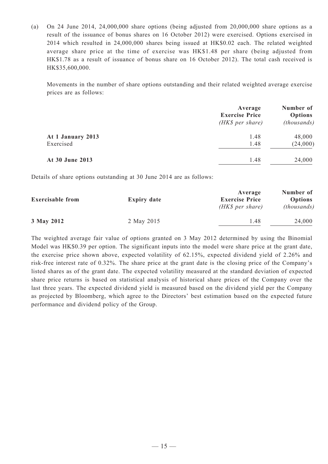(a) On 24 June 2014, 24,000,000 share options (being adjusted from 20,000,000 share options as a result of the issuance of bonus shares on 16 October 2012) were exercised. Options exercised in 2014 which resulted in 24,000,000 shares being issued at HK\$0.02 each. The related weighted average share price at the time of exercise was HK\$1.48 per share (being adjusted from HK\$1.78 as a result of issuance of bonus share on 16 October 2012). The total cash received is HK\$35,600,000.

Movements in the number of share options outstanding and their related weighted average exercise prices are as follows:

|                   | Average<br><b>Exercise Price</b><br>$(HK\$ per share) | Number of<br>Options<br>(this) |
|-------------------|-------------------------------------------------------|--------------------------------|
| At 1 January 2013 | 1.48                                                  | 48,000                         |
| Exercised         | 1.48                                                  | (24,000)                       |
| At 30 June 2013   | 1.48                                                  | 24,000                         |

Details of share options outstanding at 30 June 2014 are as follows:

| <b>Exercisable from</b> | <b>Expiry date</b> | Average<br><b>Exercise Price</b><br>$(HK\$ per share) | Number of<br><b>Options</b><br>(housands) |
|-------------------------|--------------------|-------------------------------------------------------|-------------------------------------------|
| 3 May 2012              | 2 May 2015         | 1.48                                                  | 24,000                                    |

The weighted average fair value of options granted on 3 May 2012 determined by using the Binomial Model was HK\$0.39 per option. The significant inputs into the model were share price at the grant date, the exercise price shown above, expected volatility of 62.15%, expected dividend yield of 2.26% and risk-free interest rate of 0.32%. The share price at the grant date is the closing price of the Company's listed shares as of the grant date. The expected volatility measured at the standard deviation of expected share price returns is based on statistical analysis of historical share prices of the Company over the last three years. The expected dividend yield is measured based on the dividend yield per the Company as projected by Bloomberg, which agree to the Directors' best estimation based on the expected future performance and dividend policy of the Group.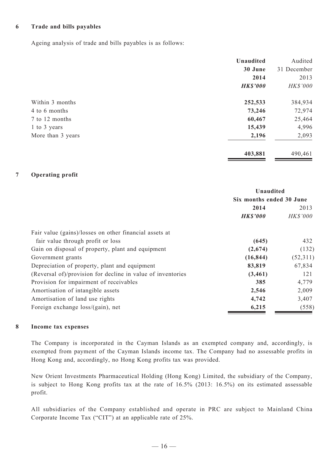#### **6 Trade and bills payables**

Ageing analysis of trade and bills payables is as follows:

|                   | Unaudited       | Audited     |
|-------------------|-----------------|-------------|
|                   | 30 June         | 31 December |
|                   | 2014            | 2013        |
|                   | <b>HK\$'000</b> | HK\$'000    |
| Within 3 months   | 252,533         | 384,934     |
| 4 to 6 months     | 73,246          | 72,974      |
| 7 to 12 months    | 60,467          | 25,464      |
| 1 to 3 years      | 15,439          | 4,996       |
| More than 3 years | 2,196           | 2,093       |
|                   | 403,881         | 490,461     |

#### **7 Operating profit**

|                                                             | Unaudited                |                 |
|-------------------------------------------------------------|--------------------------|-----------------|
|                                                             | Six months ended 30 June |                 |
|                                                             | 2014                     | 2013            |
|                                                             | <b>HK\$'000</b>          | <b>HK\$'000</b> |
| Fair value (gains)/losses on other financial assets at      |                          |                 |
| fair value through profit or loss                           | (645)                    | 432             |
| Gain on disposal of property, plant and equipment           | (2,674)                  | (132)           |
| Government grants                                           | (16, 844)                | (52,311)        |
| Depreciation of property, plant and equipment               | 83,819                   | 67,834          |
| (Reversal of)/provision for decline in value of inventories | (3,461)                  | 121             |
| Provision for impairment of receivables                     | 385                      | 4,779           |
| Amortisation of intangible assets                           | 2,546                    | 2,009           |
| Amortisation of land use rights                             | 4,742                    | 3,407           |
| Foreign exchange loss/(gain), net                           | 6,215                    | (558)           |

#### **8 Income tax expenses**

The Company is incorporated in the Cayman Islands as an exempted company and, accordingly, is exempted from payment of the Cayman Islands income tax. The Company had no assessable profits in Hong Kong and, accordingly, no Hong Kong profits tax was provided.

New Orient Investments Pharmaceutical Holding (Hong Kong) Limited, the subsidiary of the Company, is subject to Hong Kong profits tax at the rate of 16.5% (2013: 16.5%) on its estimated assessable profit.

All subsidiaries of the Company established and operate in PRC are subject to Mainland China Corporate Income Tax ("CIT") at an applicable rate of 25%.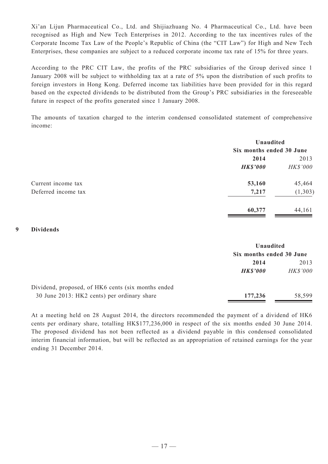Xi'an Lijun Pharmaceutical Co., Ltd. and Shijiazhuang No. 4 Pharmaceutical Co., Ltd. have been recognised as High and New Tech Enterprises in 2012. According to the tax incentives rules of the Corporate Income Tax Law of the People's Republic of China (the "CIT Law") for High and New Tech Enterprises, these companies are subject to a reduced corporate income tax rate of 15% for three years.

According to the PRC CIT Law, the profits of the PRC subsidiaries of the Group derived since 1 January 2008 will be subject to withholding tax at a rate of 5% upon the distribution of such profits to foreign investors in Hong Kong. Deferred income tax liabilities have been provided for in this regard based on the expected dividends to be distributed from the Group's PRC subsidiaries in the foreseeable future in respect of the profits generated since 1 January 2008.

The amounts of taxation charged to the interim condensed consolidated statement of comprehensive income:

|                     |                 | Unaudited                |  |
|---------------------|-----------------|--------------------------|--|
|                     |                 | Six months ended 30 June |  |
|                     | 2014            | 2013                     |  |
|                     | <b>HK\$'000</b> | HK\$'000                 |  |
| Current income tax  | 53,160          | 45,464                   |  |
| Deferred income tax | 7,217           | (1, 303)                 |  |
|                     | 60,377          | 44,161                   |  |

#### **9 Dividends**

|                                                    | Unaudited                |                 |
|----------------------------------------------------|--------------------------|-----------------|
|                                                    | Six months ended 30 June |                 |
|                                                    | 2014                     | 2013            |
|                                                    | <b>HK\$'000</b>          | <b>HK\$'000</b> |
| Dividend, proposed, of HK6 cents (six months ended |                          |                 |
| 30 June 2013: HK2 cents) per ordinary share        | 177,236                  | 58,599          |

At a meeting held on 28 August 2014, the directors recommended the payment of a dividend of HK6 cents per ordinary share, totalling HK\$177,236,000 in respect of the six months ended 30 June 2014. The proposed dividend has not been reflected as a dividend payable in this condensed consolidated interim financial information, but will be reflected as an appropriation of retained earnings for the year ending 31 December 2014.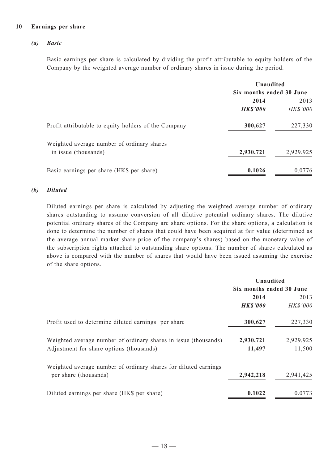#### **10 Earnings per share**

#### *(a) Basic*

Basic earnings per share is calculated by dividing the profit attributable to equity holders of the Company by the weighted average number of ordinary shares in issue during the period.

| Unaudited                |                 |
|--------------------------|-----------------|
| Six months ended 30 June |                 |
| 2014                     | 2013            |
| <b>HK\$'000</b>          | <b>HK\$'000</b> |
| 300,627                  | 227,330         |
|                          |                 |
| 2,930,721                | 2,929,925       |
| 0.1026                   | 0.0776          |
|                          |                 |

#### *(b) Diluted*

Diluted earnings per share is calculated by adjusting the weighted average number of ordinary shares outstanding to assume conversion of all dilutive potential ordinary shares. The dilutive potential ordinary shares of the Company are share options. For the share options, a calculation is done to determine the number of shares that could have been acquired at fair value (determined as the average annual market share price of the company's shares) based on the monetary value of the subscription rights attached to outstanding share options. The number of shares calculated as above is compared with the number of shares that would have been issued assuming the exercise of the share options.

|                                                                 | Unaudited       |                          |  |
|-----------------------------------------------------------------|-----------------|--------------------------|--|
|                                                                 |                 | Six months ended 30 June |  |
|                                                                 | 2014            | 2013                     |  |
|                                                                 | <b>HK\$'000</b> | <b>HK\$'000</b>          |  |
| Profit used to determine diluted earnings per share             | 300,627         | 227,330                  |  |
| Weighted average number of ordinary shares in issue (thousands) | 2,930,721       | 2,929,925                |  |
| Adjustment for share options (thousands)                        | 11,497          | 11,500                   |  |
| Weighted average number of ordinary shares for diluted earnings |                 |                          |  |
| per share (thousands)                                           | 2,942,218       | 2,941,425                |  |
| Diluted earnings per share (HK\$ per share)                     | 0.1022          | 0.0773                   |  |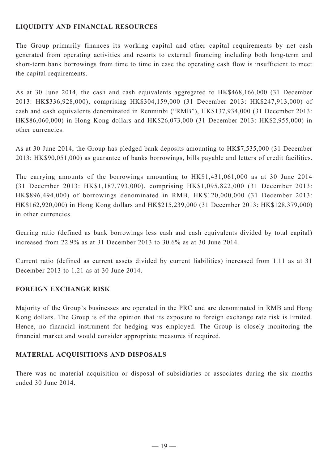# **LIQUIDITY AND FINANCIAL RESOURCES**

The Group primarily finances its working capital and other capital requirements by net cash generated from operating activities and resorts to external financing including both long-term and short-term bank borrowings from time to time in case the operating cash flow is insufficient to meet the capital requirements.

As at 30 June 2014, the cash and cash equivalents aggregated to HK\$468,166,000 (31 December 2013: HK\$336,928,000), comprising HK\$304,159,000 (31 December 2013: HK\$247,913,000) of cash and cash equivalents denominated in Renminbi ("RMB"), HK\$137,934,000 (31 December 2013: HK\$86,060,000) in Hong Kong dollars and HK\$26,073,000 (31 December 2013: HK\$2,955,000) in other currencies.

As at 30 June 2014, the Group has pledged bank deposits amounting to HK\$7,535,000 (31 December 2013: HK\$90,051,000) as guarantee of banks borrowings, bills payable and letters of credit facilities.

The carrying amounts of the borrowings amounting to HK\$1,431,061,000 as at 30 June 2014 (31 December 2013: HK\$1,187,793,000), comprising HK\$1,095,822,000 (31 December 2013: HK\$896,494,000) of borrowings denominated in RMB, HK\$120,000,000 (31 December 2013: HK\$162,920,000) in Hong Kong dollars and HK\$215,239,000 (31 December 2013: HK\$128,379,000) in other currencies.

Gearing ratio (defined as bank borrowings less cash and cash equivalents divided by total capital) increased from 22.9% as at 31 December 2013 to 30.6% as at 30 June 2014.

Current ratio (defined as current assets divided by current liabilities) increased from 1.11 as at 31 December 2013 to 1.21 as at 30 June 2014.

## **FOREIGN EXCHANGE RISK**

Majority of the Group's businesses are operated in the PRC and are denominated in RMB and Hong Kong dollars. The Group is of the opinion that its exposure to foreign exchange rate risk is limited. Hence, no financial instrument for hedging was employed. The Group is closely monitoring the financial market and would consider appropriate measures if required.

## **MATERIAL ACQUISITIONS AND DISPOSALS**

There was no material acquisition or disposal of subsidiaries or associates during the six months ended 30 June 2014.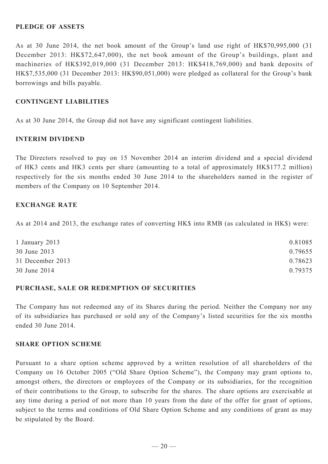### **PLEDGE OF ASSETS**

As at 30 June 2014, the net book amount of the Group's land use right of HK\$70,995,000 (31 December 2013: HK\$72,647,000), the net book amount of the Group's buildings, plant and machineries of HK\$392,019,000 (31 December 2013: HK\$418,769,000) and bank deposits of HK\$7,535,000 (31 December 2013: HK\$90,051,000) were pledged as collateral for the Group's bank borrowings and bills payable.

### **CONTINGENT LIABILITIES**

As at 30 June 2014, the Group did not have any significant contingent liabilities.

### **INTERIM DIVIDEND**

The Directors resolved to pay on 15 November 2014 an interim dividend and a special dividend of HK3 cents and HK3 cents per share (amounting to a total of approximately HK\$177.2 million) respectively for the six months ended 30 June 2014 to the shareholders named in the register of members of the Company on 10 September 2014.

#### **EXCHANGE RATE**

As at 2014 and 2013, the exchange rates of converting HK\$ into RMB (as calculated in HK\$) were:

| 1 January 2013   | 0.81085 |
|------------------|---------|
| 30 June 2013     | 0.79655 |
| 31 December 2013 | 0.78623 |
| 30 June 2014     | 0.79375 |

#### **PURCHASE, SALE OR REDEMPTION OF SECURITIES**

The Company has not redeemed any of its Shares during the period. Neither the Company nor any of its subsidiaries has purchased or sold any of the Company's listed securities for the six months ended 30 June 2014.

#### **SHARE OPTION SCHEME**

Pursuant to a share option scheme approved by a written resolution of all shareholders of the Company on 16 October 2005 ("Old Share Option Scheme"), the Company may grant options to, amongst others, the directors or employees of the Company or its subsidiaries, for the recognition of their contributions to the Group, to subscribe for the shares. The share options are exercisable at any time during a period of not more than 10 years from the date of the offer for grant of options, subject to the terms and conditions of Old Share Option Scheme and any conditions of grant as may be stipulated by the Board.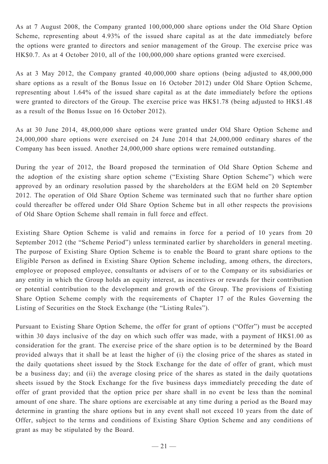As at 7 August 2008, the Company granted 100,000,000 share options under the Old Share Option Scheme, representing about 4.93% of the issued share capital as at the date immediately before the options were granted to directors and senior management of the Group. The exercise price was HK\$0.7. As at 4 October 2010, all of the 100,000,000 share options granted were exercised.

As at 3 May 2012, the Company granted 40,000,000 share options (being adjusted to 48,000,000 share options as a result of the Bonus Issue on 16 October 2012) under Old Share Option Scheme, representing about 1.64% of the issued share capital as at the date immediately before the options were granted to directors of the Group. The exercise price was HK\$1.78 (being adjusted to HK\$1.48 as a result of the Bonus Issue on 16 October 2012).

As at 30 June 2014, 48,000,000 share options were granted under Old Share Option Scheme and 24,000,000 share options were exercised on 24 June 2014 that 24,000,000 ordinary shares of the Company has been issued. Another 24,000,000 share options were remained outstanding.

During the year of 2012, the Board proposed the termination of Old Share Option Scheme and the adoption of the existing share option scheme ("Existing Share Option Scheme") which were approved by an ordinary resolution passed by the shareholders at the EGM held on 20 September 2012. The operation of Old Share Option Scheme was terminated such that no further share option could thereafter be offered under Old Share Option Scheme but in all other respects the provisions of Old Share Option Scheme shall remain in full force and effect.

Existing Share Option Scheme is valid and remains in force for a period of 10 years from 20 September 2012 (the "Scheme Period") unless terminated earlier by shareholders in general meeting. The purpose of Existing Share Option Scheme is to enable the Board to grant share options to the Eligible Person as defined in Existing Share Option Scheme including, among others, the directors, employee or proposed employee, consultants or advisers of or to the Company or its subsidiaries or any entity in which the Group holds an equity interest, as incentives or rewards for their contribution or potential contribution to the development and growth of the Group. The provisions of Existing Share Option Scheme comply with the requirements of Chapter 17 of the Rules Governing the Listing of Securities on the Stock Exchange (the "Listing Rules").

Pursuant to Existing Share Option Scheme, the offer for grant of options ("Offer") must be accepted within 30 days inclusive of the day on which such offer was made, with a payment of HK\$1.00 as consideration for the grant. The exercise price of the share option is to be determined by the Board provided always that it shall be at least the higher of (i) the closing price of the shares as stated in the daily quotations sheet issued by the Stock Exchange for the date of offer of grant, which must be a business day; and (ii) the average closing price of the shares as stated in the daily quotations sheets issued by the Stock Exchange for the five business days immediately preceding the date of offer of grant provided that the option price per share shall in no event be less than the nominal amount of one share. The share options are exercisable at any time during a period as the Board may determine in granting the share options but in any event shall not exceed 10 years from the date of Offer, subject to the terms and conditions of Existing Share Option Scheme and any conditions of grant as may be stipulated by the Board.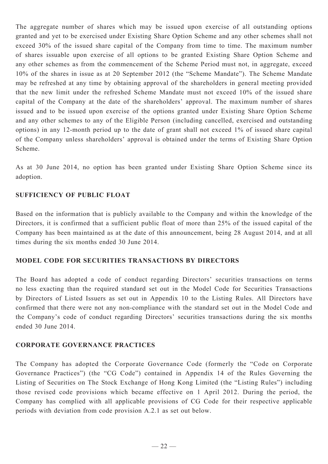The aggregate number of shares which may be issued upon exercise of all outstanding options granted and yet to be exercised under Existing Share Option Scheme and any other schemes shall not exceed 30% of the issued share capital of the Company from time to time. The maximum number of shares issuable upon exercise of all options to be granted Existing Share Option Scheme and any other schemes as from the commencement of the Scheme Period must not, in aggregate, exceed 10% of the shares in issue as at 20 September 2012 (the "Scheme Mandate"). The Scheme Mandate may be refreshed at any time by obtaining approval of the shareholders in general meeting provided that the new limit under the refreshed Scheme Mandate must not exceed 10% of the issued share capital of the Company at the date of the shareholders' approval. The maximum number of shares issued and to be issued upon exercise of the options granted under Existing Share Option Scheme and any other schemes to any of the Eligible Person (including cancelled, exercised and outstanding options) in any 12-month period up to the date of grant shall not exceed 1% of issued share capital of the Company unless shareholders' approval is obtained under the terms of Existing Share Option Scheme.

As at 30 June 2014, no option has been granted under Existing Share Option Scheme since its adoption.

## **SUFFICIENCY OF PUBLIC FLOAT**

Based on the information that is publicly available to the Company and within the knowledge of the Directors, it is confirmed that a sufficient public float of more than 25% of the issued capital of the Company has been maintained as at the date of this announcement, being 28 August 2014, and at all times during the six months ended 30 June 2014.

## **MODEL CODE FOR SECURITIES TRANSACTIONS BY DIRECTORS**

The Board has adopted a code of conduct regarding Directors' securities transactions on terms no less exacting than the required standard set out in the Model Code for Securities Transactions by Directors of Listed Issuers as set out in Appendix 10 to the Listing Rules. All Directors have confirmed that there were not any non-compliance with the standard set out in the Model Code and the Company's code of conduct regarding Directors' securities transactions during the six months ended 30 June 2014.

## **CORPORATE GOVERNANCE PRACTICES**

The Company has adopted the Corporate Governance Code (formerly the "Code on Corporate Governance Practices") (the "CG Code") contained in Appendix 14 of the Rules Governing the Listing of Securities on The Stock Exchange of Hong Kong Limited (the "Listing Rules") including those revised code provisions which became effective on 1 April 2012. During the period, the Company has complied with all applicable provisions of CG Code for their respective applicable periods with deviation from code provision A.2.1 as set out below.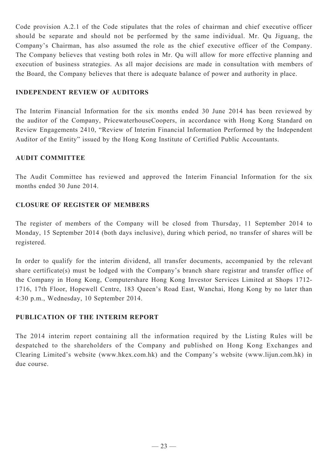Code provision A.2.1 of the Code stipulates that the roles of chairman and chief executive officer should be separate and should not be performed by the same individual. Mr. Qu Jiguang, the Company's Chairman, has also assumed the role as the chief executive officer of the Company. The Company believes that vesting both roles in Mr. Qu will allow for more effective planning and execution of business strategies. As all major decisions are made in consultation with members of the Board, the Company believes that there is adequate balance of power and authority in place.

### **INDEPENDENT REVIEW OF AUDITORS**

The Interim Financial Information for the six months ended 30 June 2014 has been reviewed by the auditor of the Company, PricewaterhouseCoopers, in accordance with Hong Kong Standard on Review Engagements 2410, "Review of Interim Financial Information Performed by the Independent Auditor of the Entity" issued by the Hong Kong Institute of Certified Public Accountants.

### **AUDIT COMMITTEE**

The Audit Committee has reviewed and approved the Interim Financial Information for the six months ended 30 June 2014.

## **CLOSURE OF REGISTER OF MEMBERS**

The register of members of the Company will be closed from Thursday, 11 September 2014 to Monday, 15 September 2014 (both days inclusive), during which period, no transfer of shares will be registered.

In order to qualify for the interim dividend, all transfer documents, accompanied by the relevant share certificate(s) must be lodged with the Company's branch share registrar and transfer office of the Company in Hong Kong, Computershare Hong Kong Investor Services Limited at Shops 1712- 1716, 17th Floor, Hopewell Centre, 183 Queen's Road East, Wanchai, Hong Kong by no later than 4:30 p.m., Wednesday, 10 September 2014.

## **PUBLICATION OF THE INTERIM REPORT**

The 2014 interim report containing all the information required by the Listing Rules will be despatched to the shareholders of the Company and published on Hong Kong Exchanges and Clearing Limited's website (www.hkex.com.hk) and the Company's website (www.lijun.com.hk) in due course.